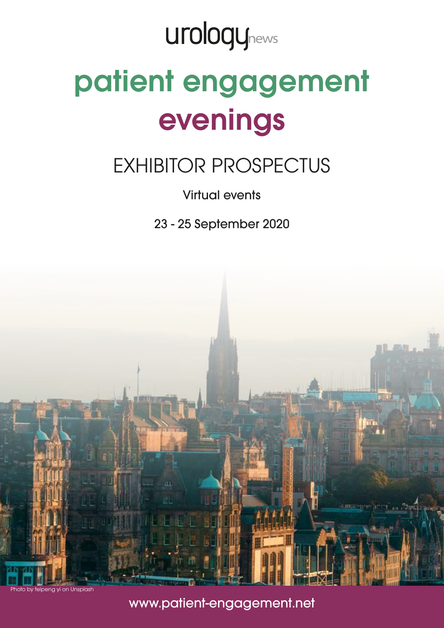## **urologynews**

# patient engagement evenings

## EXHIBITOR PROSPECTUS

### Virtual events

23 - 25 September 2020



to by feipeng yi on Unsplash

### www.patient-engagement.net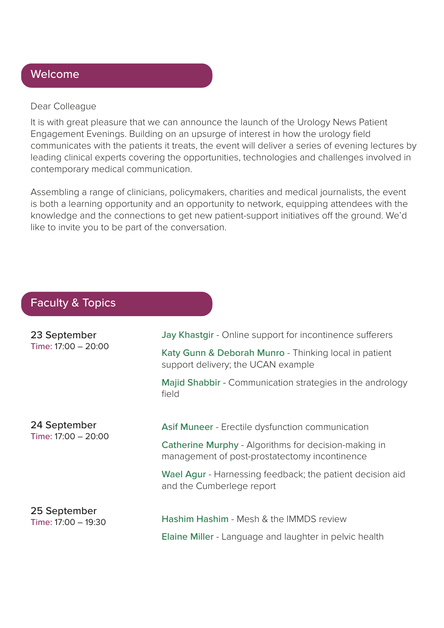#### Welcome

#### Dear Colleague

It is with great pleasure that we can announce the launch of the Urology News Patient Engagement Evenings. Building on an upsurge of interest in how the urology field communicates with the patients it treats, the event will deliver a series of evening lectures by leading clinical experts covering the opportunities, technologies and challenges involved in contemporary medical communication.

Assembling a range of clinicians, policymakers, charities and medical journalists, the event is both a learning opportunity and an opportunity to network, equipping attendees with the knowledge and the connections to get new patient-support initiatives off the ground. We'd like to invite you to be part of the conversation.

#### Faculty & Topics

| 23 September        | Jay Khastgir - Online support for incontinence sufferers                                              |  |
|---------------------|-------------------------------------------------------------------------------------------------------|--|
| Time: 17:00 - 20:00 | Katy Gunn & Deborah Munro - Thinking local in patient<br>support delivery; the UCAN example           |  |
|                     | Majid Shabbir - Communication strategies in the andrology<br>field                                    |  |
| 24 September        | Asif Muneer - Erectile dysfunction communication                                                      |  |
| Time: 17:00 - 20:00 | Catherine Murphy - Algorithms for decision-making in<br>management of post-prostatectomy incontinence |  |
|                     | Wael Agur - Harnessing feedback; the patient decision aid<br>and the Cumberlege report                |  |
| 25 September        | <b>Hashim Hashim - Mesh &amp; the IMMDS review</b>                                                    |  |
| Time: 17:00 - 19:30 | Elaine Miller - Language and laughter in pelvic health                                                |  |
|                     |                                                                                                       |  |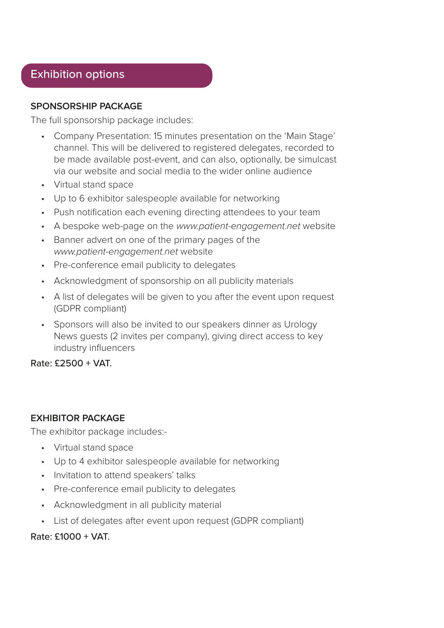#### Exhibition options

#### **SPONSORSHIP PACKAGE**

The full sponsorship package includes:

- Company Presentation: 15 minutes presentation on the 'Main Stage' channel. This will be delivered to registered delegates, recorded to be made available post-event, and can also, optionally, be simulcast via our website and social media to the wider online audience
- Virtual stand space
- Up to 6 exhibitor salespeople available for networking
- Push notification each evening directing attendees to your team
- A bespoke web-page on the *www.patient-engagement.net* website
- Banner advert on one of the primary pages of the *www.patient-engagement.net* website
- Pre-conference email publicity to delegates
- Acknowledgment of sponsorship on all publicity materials
- A list of delegates will be given to you after the event upon request (GDPR compliant)
- Sponsors will also be invited to our speakers dinner as Urology News guests (2 invites per company), giving direct access to key industry influencers

Rate: £2500 + VAT.

#### **EXHIBITOR PACKAGE**

The exhibitor package includes:-

- Virtual stand space
- Up to 4 exhibitor salespeople available for networking
- Invitation to attend speakers' talks
- Pre-conference email publicity to delegates
- Acknowledgment in all publicity material
- List of delegates after event upon request (GDPR compliant)

Rate: £1000 + VAT.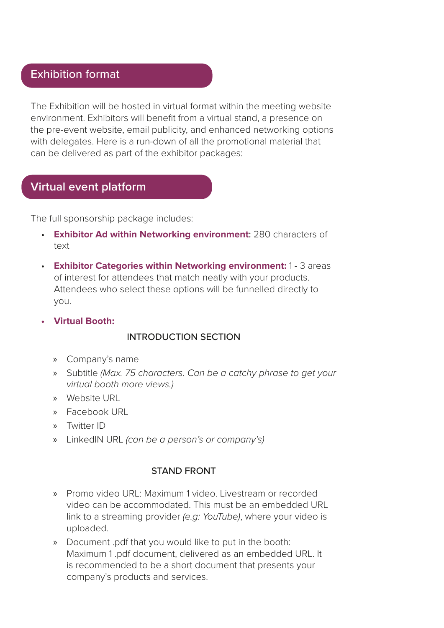#### Exhibition format

The Exhibition will be hosted in virtual format within the meeting website environment. Exhibitors will benefit from a virtual stand, a presence on the pre-event website, email publicity, and enhanced networking options with delegates. Here is a run-down of all the promotional material that can be delivered as part of the exhibitor packages:

#### **Virtual event platform**

The full sponsorship package includes:

- **Exhibitor Ad within Networking environment**: 280 characters of text
- **Exhibitor Categories within Networking environment:** 1 3 areas of interest for attendees that match neatly with your products. Attendees who select these options will be funnelled directly to you.
- **• Virtual Booth:**

#### INTRODUCTION SECTION

- » Company's name
- » Subtitle *(Max. 75 characters. Can be a catchy phrase to get your virtual booth more views.)*
- » Website URL
- » Facebook URL
- » Twitter ID
- » LinkedIN URL *(can be a person's or company's)*

#### STAND FRONT

- » Promo video URL: Maximum 1 video. Livestream or recorded video can be accommodated. This must be an embedded URL link to a streaming provider *(e.g: YouTube)*, where your video is uploaded.
- » Document .pdf that you would like to put in the booth: Maximum 1 .pdf document, delivered as an embedded URL. It is recommended to be a short document that presents your company's products and services.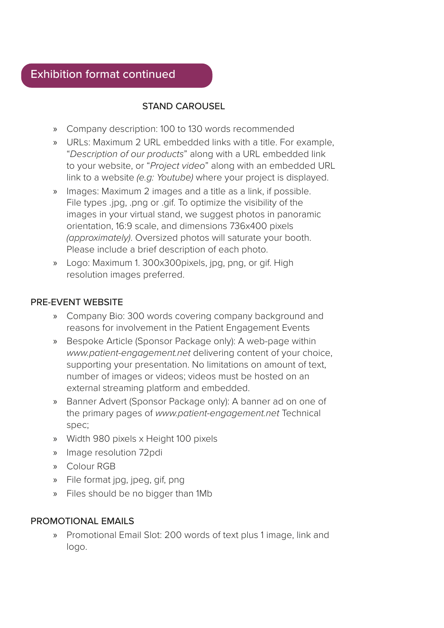#### STAND CAROUSEL

- » Company description: 100 to 130 words recommended
- » URLs: Maximum 2 URL embedded links with a title. For example, "*Description of our products*" along with a URL embedded link to your website, or "*Project video*" along with an embedded URL link to a website *(e.g: Youtube)* where your project is displayed.
- » Images: Maximum 2 images and a title as a link, if possible. File types .jpg, .png or .gif. To optimize the visibility of the images in your virtual stand, we suggest photos in panoramic orientation, 16:9 scale, and dimensions 736x400 pixels *(approximately)*. Oversized photos will saturate your booth. Please include a brief description of each photo.
- » Logo: Maximum 1. 300x300pixels, jpg, png, or gif. High resolution images preferred.

#### PRE-EVENT WEBSITE

- » Company Bio: 300 words covering company background and reasons for involvement in the Patient Engagement Events
- » Bespoke Article (Sponsor Package only): A web-page within *www.patient-engagement.net* delivering content of your choice, supporting your presentation. No limitations on amount of text, number of images or videos; videos must be hosted on an external streaming platform and embedded.
- » Banner Advert (Sponsor Package only): A banner ad on one of the primary pages of *www.patient-engagement.net* Technical spec;
- » Width 980 pixels x Height 100 pixels
- » Image resolution 72pdi
- » Colour RGB
- » File format jpg, jpeg, gif, png
- » Files should be no bigger than 1Mb

#### PROMOTIONAL EMAILS

» Promotional Email Slot: 200 words of text plus 1 image, link and logo.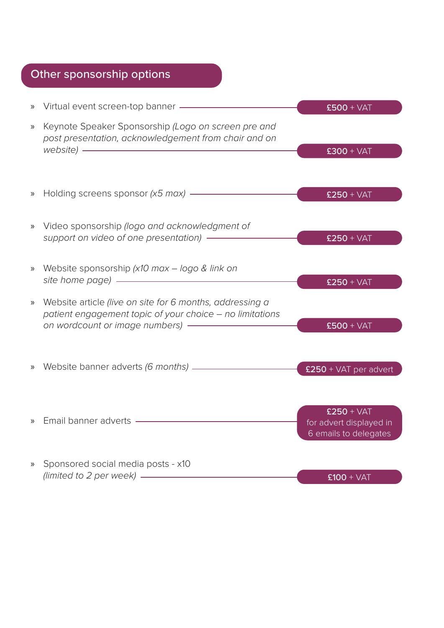## Other sponsorship options

| $\rangle\!\rangle$ |                                                                                                                                                                                                                                                                                                                                               | $£500 + VAT$                                                     |
|--------------------|-----------------------------------------------------------------------------------------------------------------------------------------------------------------------------------------------------------------------------------------------------------------------------------------------------------------------------------------------|------------------------------------------------------------------|
| $\gg$              | Keynote Speaker Sponsorship (Logo on screen pre and<br>post presentation, acknowledgement from chair and on<br>website) - The Contract of the Contract of the Contract of the Contract of the Contract of the Contract of the Contract of the Contract of the Contract of the Contract of the Contract of the Contract of the Contract of the | $£300 + VAT$                                                     |
| $\rangle\!\rangle$ | Holding screens sponsor (x5 max) - The Molding screens sponsor (x5 max)                                                                                                                                                                                                                                                                       | $£250 + VAT$                                                     |
|                    | » Video sponsorship (logo and acknowledgment of<br>support on video of one presentation) -                                                                                                                                                                                                                                                    | $£250 + VAT$                                                     |
| $\rangle\!\rangle$ | Website sponsorship (x10 max - logo & link on                                                                                                                                                                                                                                                                                                 | $£250 + VAT$                                                     |
| $\rangle\!\rangle$ | Website article (live on site for 6 months, addressing a<br>patient engagement topic of your choice - no limitations                                                                                                                                                                                                                          | $£500 + VAT$                                                     |
|                    |                                                                                                                                                                                                                                                                                                                                               | $£250 + VAT$ per advert                                          |
| $\mathcal{V}$      | Email banner adverts - The Manuscript                                                                                                                                                                                                                                                                                                         | $£250 + VAT$<br>for advert displayed in<br>6 emails to delegates |
| $\mathcal{V}$      | Sponsored social media posts - x10<br>(limited to 2 per week) $\frac{1}{1}$                                                                                                                                                                                                                                                                   | $£100 + VAT$                                                     |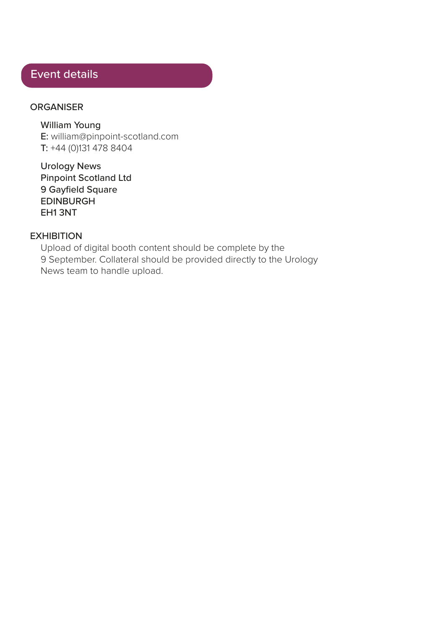#### Event details

#### **ORGANISER**

William Young E: william@pinpoint-scotland.com T: +44 (0)131 478 8404

Urology News Pinpoint Scotland Ltd 9 Gayfield Square EDINBURGH EH1 3NT

#### **EXHIBITION**

Upload of digital booth content should be complete by the 9 September. Collateral should be provided directly to the Urology News team to handle upload.